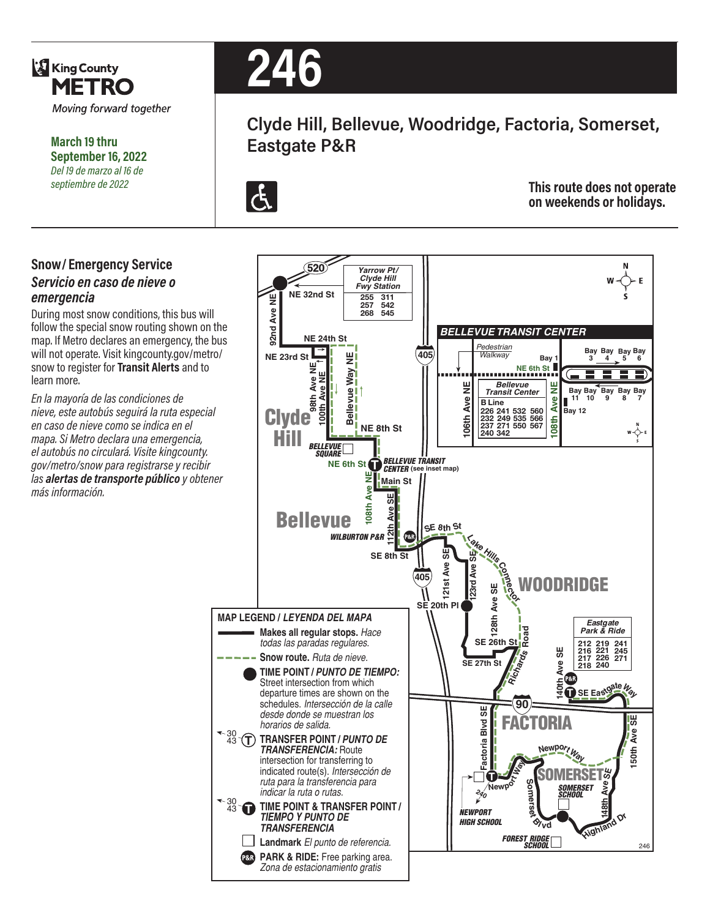

**March 19 thru September 16, 2022** *Del 19 de marzo al 16 de septiembre de 2022*

#### **Snow/ Emergency Service**  *Servicio en caso de nieve o emergencia*

During most snow conditions, this bus will follow the special snow routing shown on the map. If Metro declares an emergency, the bus will not operate. Visit kingcounty.gov/metro/ snow to register for **Transit Alerts** and to learn more.

*En la mayoría de las condiciones de nieve, este autobús seguirá la ruta especial en caso de nieve como se indica en el mapa. Si Metro declara una emergencia, el autobús no circulará. Visite kingcounty. gov/metro/snow para registrarse y recibir las alertas de transporte público y obtener más información.*



# **Clyde Hill, Bellevue, Woodridge, Factoria, Somerset, Eastgate P&R**



**This route does not operate on weekends or holidays.**